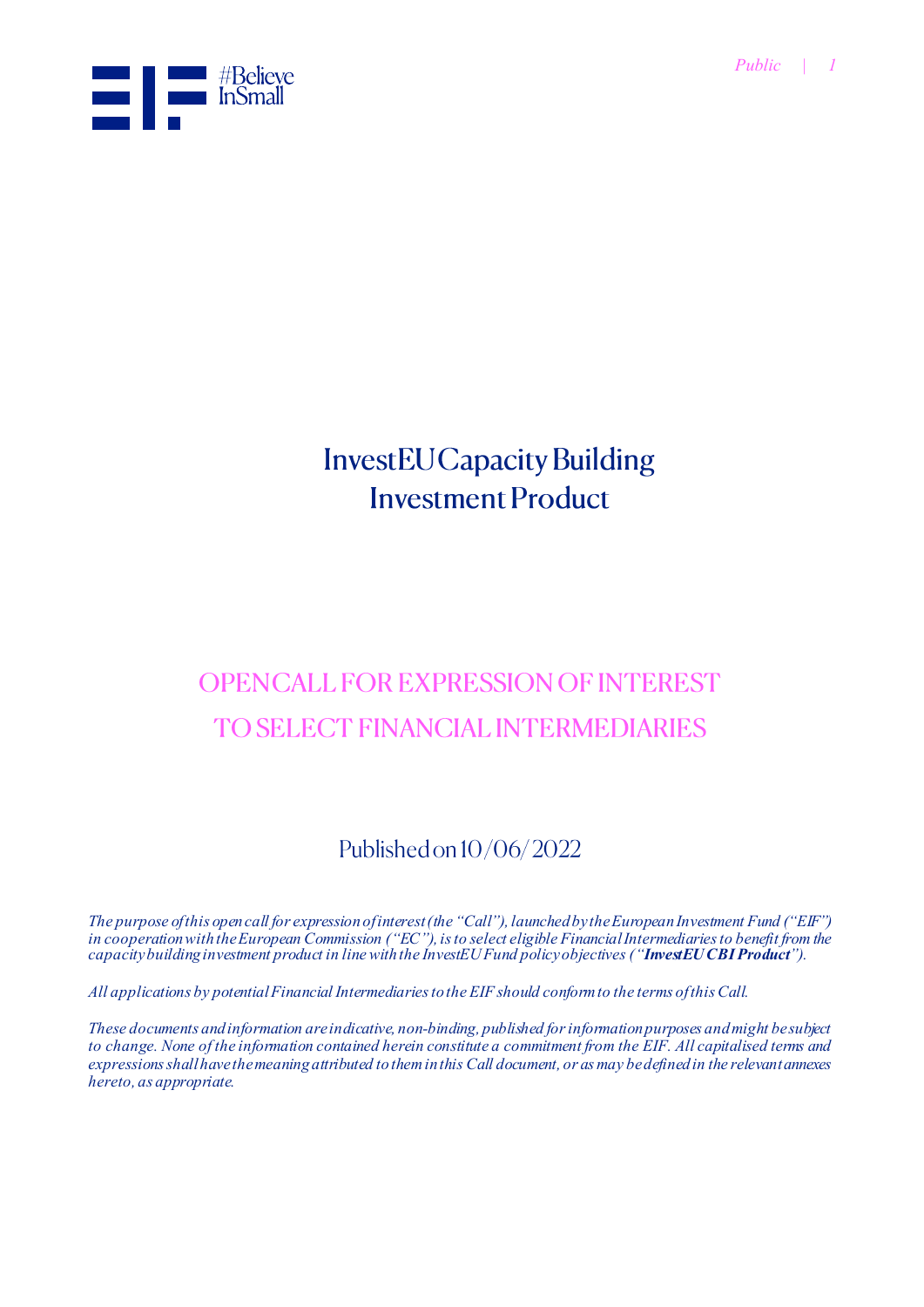

# **InvestEU Capacity Building Investment Product**

# **OPENCALL FOR EXPRESSION OF INTEREST TO SELECT FINANCIAL INTERMEDIARIES**

# Published on 10/06/2022

*The purpose of this open call for expression of interest (the "Call"), launched by the European Investment Fund ("EIF") in cooperation with the European Commission ("EC"), is to select eligible Financial Intermediaries to benefit from the capacity building investment product in line with the InvestEU Fund policy objectives ("InvestEU CBI Product").*

*All applications by potential Financial Intermediaries to the EIF should conform to the terms of this Call.*

*These documents and information are indicative, non-binding, published for information purposes and might be subject to change. None of the information contained herein constitute a commitment from the EIF. All capitalised terms and expressions shall have the meaning attributed to them in this Call document, or as may be defined in the relevant annexes hereto, as appropriate.*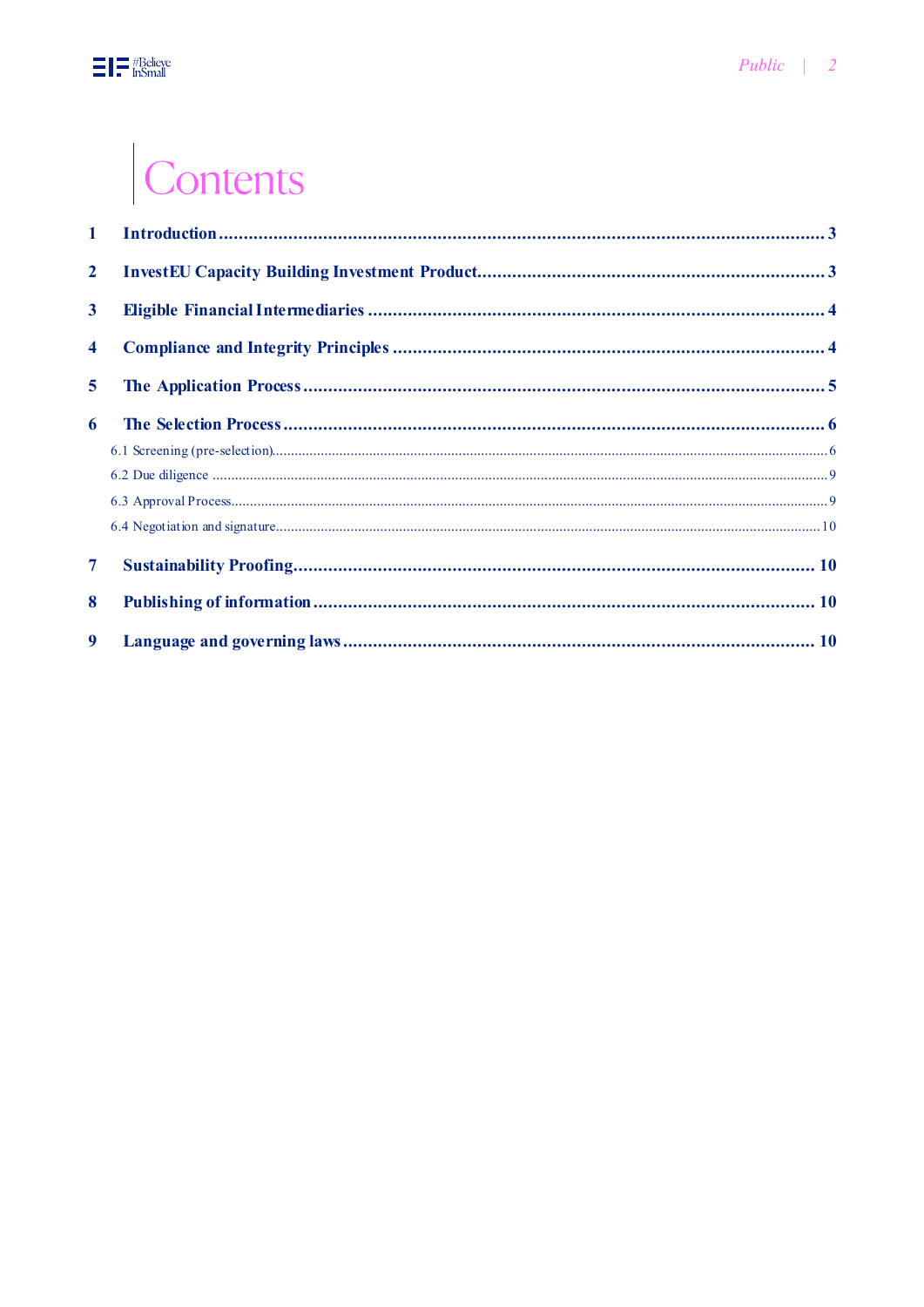# Contents

| $\mathbf 1$             |  |
|-------------------------|--|
| $\mathbf{2}$            |  |
| $\mathbf{3}$            |  |
| $\overline{\mathbf{4}}$ |  |
| 5                       |  |
| 6                       |  |
|                         |  |
|                         |  |
|                         |  |
|                         |  |
| $\overline{\tau}$       |  |
| 8                       |  |
| 9                       |  |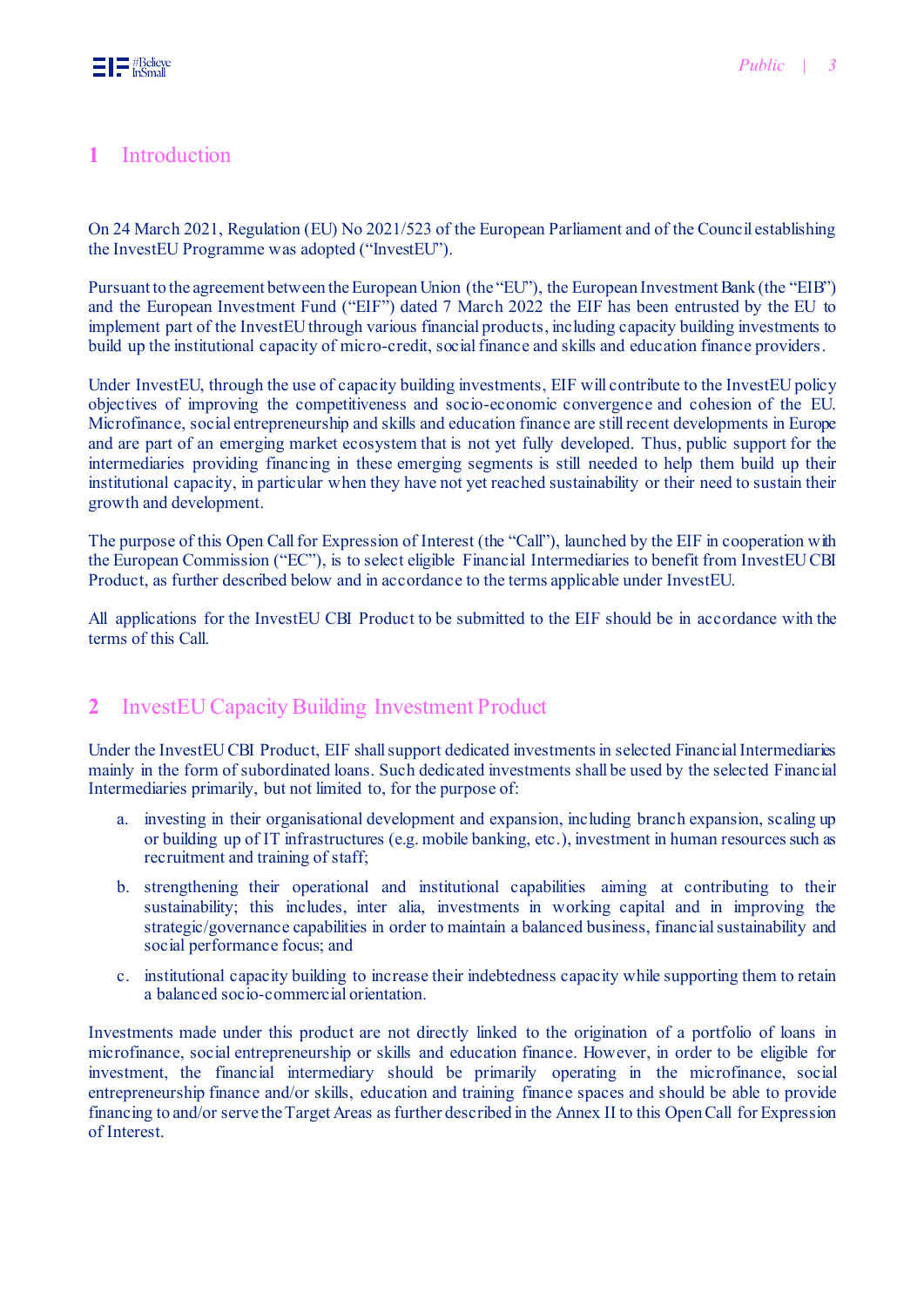# <span id="page-2-0"></span>**1** Introduction

On 24 March 2021, Regulation (EU) No 2021/523 of the European Parliament and of the Council establishing the InvestEU Programme was adopted ("InvestEU").

Pursuant to the agreement between the European Union (the "EU"), the European Investment Bank (the "EIB") and the European Investment Fund ("EIF") dated 7 March 2022 the EIF has been entrusted by the EU to implement part of the InvestEU through various financial products, including capacity building investments to build up the institutional capacity of micro-credit, social finance and skills and education finance providers.

Under InvestEU, through the use of capacity building investments, EIF will contribute to the InvestEU policy objectives of improving the competitiveness and socio-economic convergence and cohesion of the EU. Microfinance, social entrepreneurship and skills and education finance are still recent developments in Europe and are part of an emerging market ecosystem that is not yet fully developed. Thus, public support for the intermediaries providing financing in these emerging segments is still needed to help them build up their institutional capacity, in particular when they have not yet reached sustainability or their need to sustain their growth and development.

The purpose of this Open Call for Expression of Interest (the "Call"), launched by the EIF in cooperation with the European Commission ("EC"), is to select eligible Financial Intermediaries to benefit from InvestEU CBI Product, as further described below and in accordance to the terms applicable under InvestEU.

All applications for the InvestEU CBI Product to be submitted to the EIF should be in accordance with the terms of this Call.

# <span id="page-2-1"></span>**2** InvestEU Capacity Building Investment Product

Under the InvestEU CBI Product, EIF shall support dedicated investments in selected Financial Intermediaries mainly in the form of subordinated loans. Such dedicated investments shall be used by the selected Financial Intermediaries primarily, but not limited to, for the purpose of:

- a. investing in their organisational development and expansion, including branch expansion, scaling up or building up of IT infrastructures (e.g. mobile banking, etc.), investment in human resources such as recruitment and training of staff;
- b. strengthening their operational and institutional capabilities aiming at contributing to their sustainability; this includes, inter alia, investments in working capital and in improving the strategic/governance capabilities in order to maintain a balanced business, financial sustainability and social performance focus; and
- c. institutional capacity building to increase their indebtedness capacity while supporting them to retain a balanced socio-commercial orientation.

Investments made under this product are not directly linked to the origination of a portfolio of loans in microfinance, social entrepreneurship or skills and education finance. However, in order to be eligible for investment, the financial intermediary should be primarily operating in the microfinance, social entrepreneurship finance and/or skills, education and training finance spaces and should be able to provide financing to and/or serve the Target Areas as further described in th[e Annex II](m-files://show/9EF6AA5E-4488-49EE-93E6-4868188FE0B7/0-317527?object=D1DB3881-57C0-4F98-86B7-499164E87A72) to this Open Call for Expression of Interest.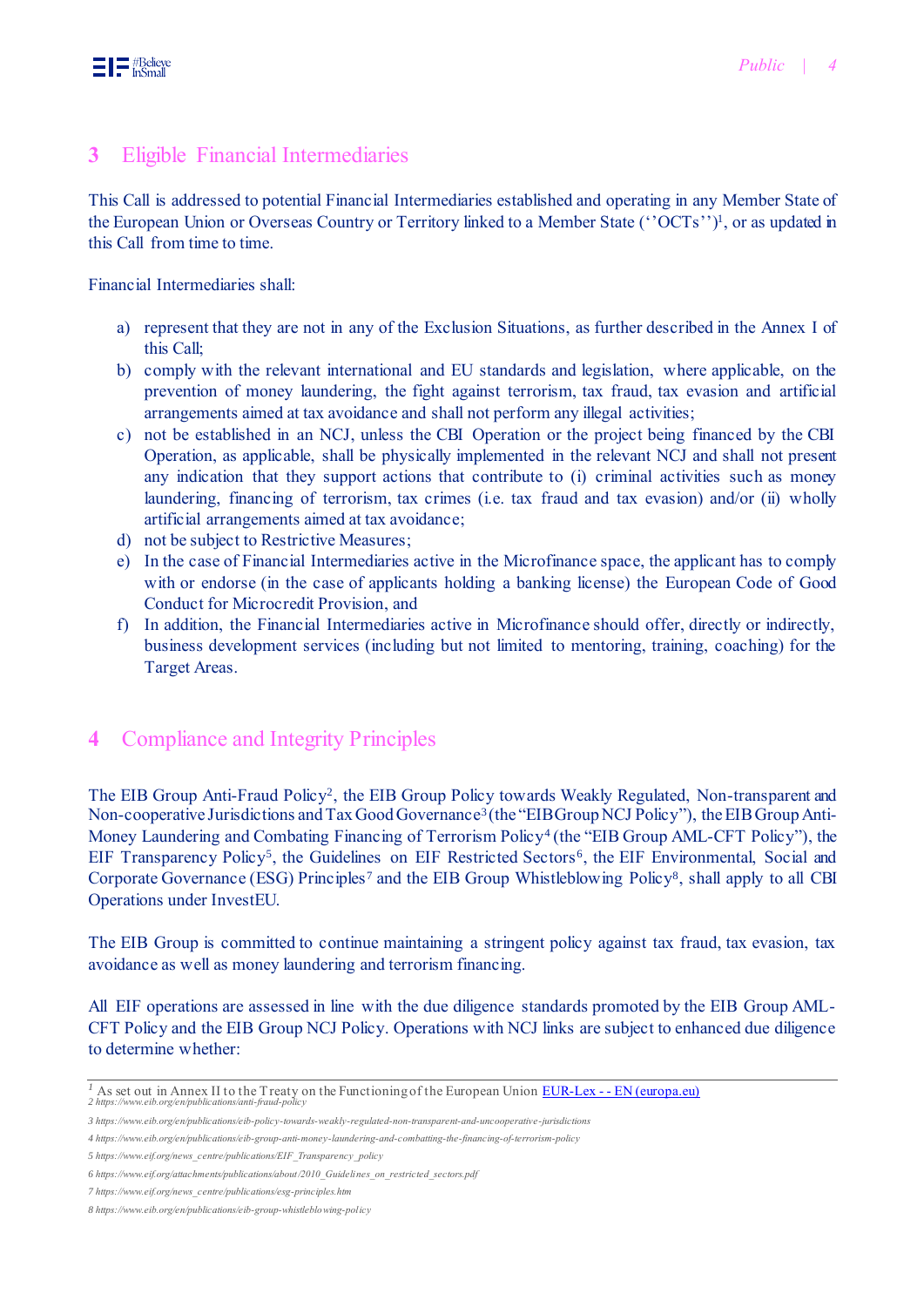# <span id="page-3-0"></span>**3** Eligible Financial Intermediaries

This Call is addressed to potential Financial Intermediaries established and operating in any Member State of the European Union or Overseas Country or Territory linked to a Member State ("OCTs")<sup>1</sup>, or as updated in this Call from time to time.

Financial Intermediaries shall:

- a) represent that they are not in any of the Exclusion Situations, as further described in the [Annex I](m-files://show/9EF6AA5E-4488-49EE-93E6-4868188FE0B7/0-317527?object=D1DB3881-57C0-4F98-86B7-499164E87A72) of this Call;
- b) comply with the relevant international and EU standards and legislation, where applicable, on the prevention of money laundering, the fight against terrorism, tax fraud, tax evasion and artificial arrangements aimed at tax avoidance and shall not perform any illegal activities;
- c) not be established in an NCJ, unless the CBI Operation or the project being financed by the CBI Operation, as applicable, shall be physically implemented in the relevant NCJ and shall not present any indication that they support actions that contribute to (i) criminal activities such as money laundering, financing of terrorism, tax crimes (i.e. tax fraud and tax evasion) and/or (ii) wholly artificial arrangements aimed at tax avoidance;
- d) not be subject to Restrictive Measures;
- e) In the case of Financial Intermediaries active in the Microfinance space, the applicant has to comply with or endorse (in the case of applicants holding a banking license) the European Code of Good [Conduct for Microcredit Provision](https://webgate.ec.europa.eu/easi-micpro/application), and
- f) In addition, the Financial Intermediaries active in Microfinance should offer, directly or indirectly, business development services (including but not limited to mentoring, training, coaching) for the Target Areas.

# <span id="page-3-1"></span>**4** Compliance and Integrity Principles

The EIB Group Anti-Fraud Policy<sup>2</sup>, the EIB Group Policy towards Weakly Regulated, Non-transparent and Non-cooperative Jurisdictions and Tax Good Governance<sup>3</sup> (the "EIB Group NCJ Policy"), the EIB Group Anti-Money Laundering and Combating Financing of Terrorism Policy<sup>4</sup> (the "EIB Group AML-CFT Policy"), the EIF Transparency Policy<sup>5</sup>, the Guidelines on EIF Restricted Sectors<sup>6</sup>, the EIF Environmental, Social and Corporate Governance (ESG) Principles<sup>7</sup> and the EIB Group Whistleblowing Policy<sup>8</sup>, shall apply to all CBI Operations under InvestEU.

The EIB Group is committed to continue maintaining a stringent policy against tax fraud, tax evasion, tax avoidance as well as money laundering and terrorism financing.

All EIF operations are assessed in line with the due diligence standards promoted by the EIB Group AML-CFT Policy and the EIB Group NCJ Policy. Operations with NCJ links are subject to enhanced due diligence to determine whether:

*<sup>1</sup>* As set out in Annex II to the Treaty on the Functioning of the European Union EUR-Lex - - [EN \(europa.eu\)](https://eur-lex.europa.eu/legal-content/EN/TXT/HTML/?uri=CELEX:12012E/TXT) *2 <https://www.eib.org/en/publications/anti-fraud-policy>*

*<sup>3</sup> <https://www.eib.org/en/publications/eib-policy-towards-weakly-regulated-non-transparent-and-uncooperative-jurisdictions>*

*<sup>4</sup> <https://www.eib.org/en/publications/eib-group-anti-money-laundering-and-combatting-the-financing-of-terrorism-policy>*

*<sup>5</sup> https://www.eif.org/news\_centre/publications/EIF\_Transparency\_policy* 

*<sup>6</sup> [https://www.eif.org/attachments/publications/about/2010\\_Guidelines\\_on\\_restricted\\_sectors.pdf](https://www.eif.org/attachments/publications/about/2010_Guidelines_on_restricted_sectors.pdf)*

*<sup>7</sup> https://www.eif.org/news\_centre/publications/esg-principles.htm* 

*<sup>8</sup> <https://www.eib.org/en/publications/eib-group-whistleblowing-policy>*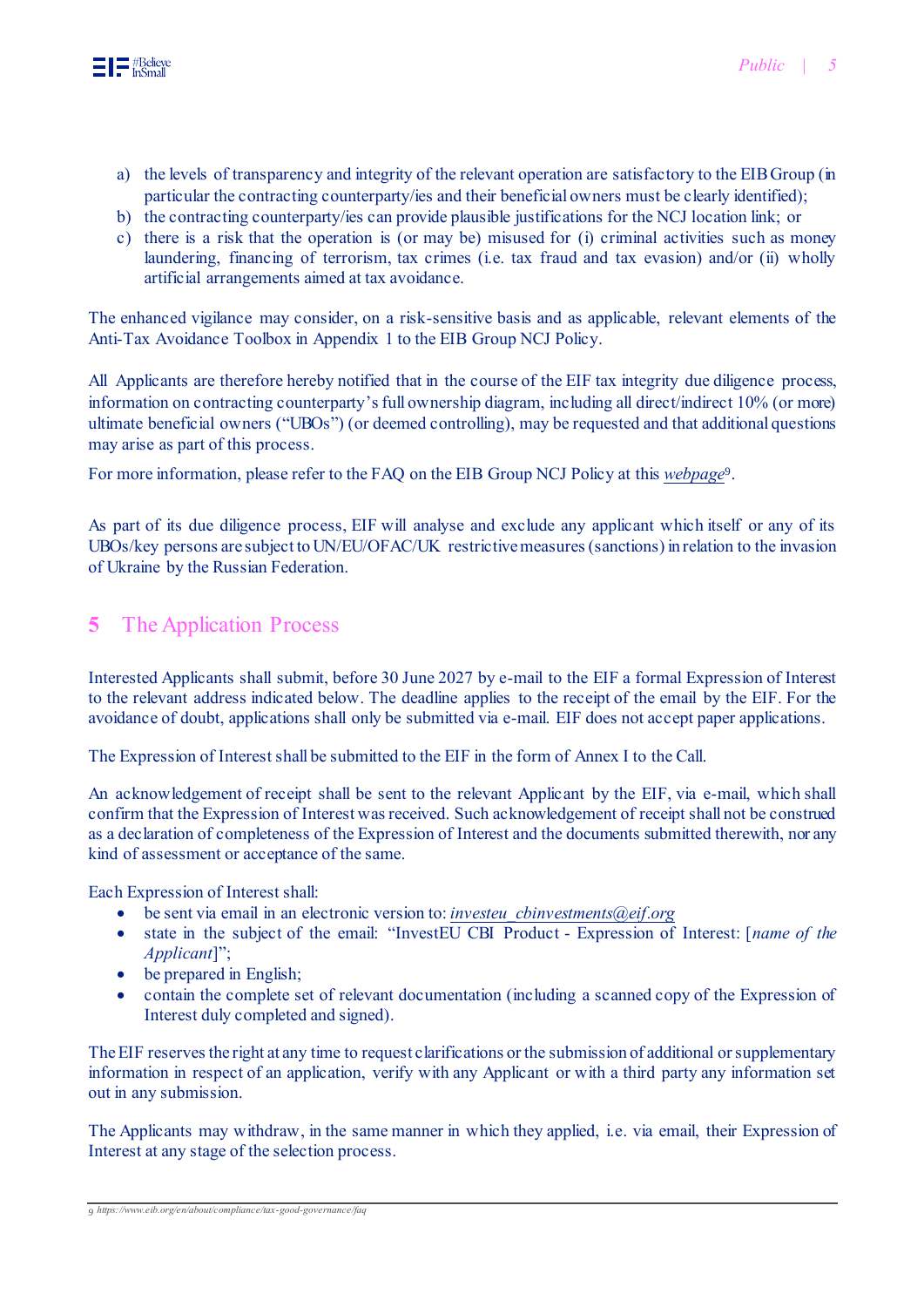

- a) the levels of transparency and integrity of the relevant operation are satisfactory to the EIB Group (in particular the contracting counterparty/ies and their beneficial owners must be clearly identified);
- b) the contracting counterparty/ies can provide plausible justifications for the NCJ location link; or
- c) there is a risk that the operation is (or may be) misused for (i) criminal activities such as money laundering, financing of terrorism, tax crimes (i.e. tax fraud and tax evasion) and/or (ii) wholly artificial arrangements aimed at tax avoidance.

The enhanced vigilance may consider, on a risk-sensitive basis and as applicable, relevant elements of the Anti-Tax Avoidance Toolbox in Appendix 1 to the EIB Group NCJ Policy.

All Applicants are therefore hereby notified that in the course of the EIF tax integrity due diligence process, information on contracting counterparty's full ownership diagram, including all direct/indirect 10% (or more) ultimate beneficial owners ("UBOs") (or deemed controlling), may be requested and that additional questions may arise as part of this process.

For more information, please refer to the FAQ on the EIB Group NCJ Policy at this *[webpage](https://www.eib.org/en/about/compliance/tax-good-governance/faq)*<sup>9</sup> .

As part of its due diligence process, EIF will analyse and exclude any applicant which itself or any of its UBOs/key persons are subject to UN/EU/OFAC/UK restrictive measures (sanctions) in relation to the invasion of Ukraine by the Russian Federation.

# <span id="page-4-0"></span>**5** The Application Process

Interested Applicants shall submit, before 30 June 2027 by e-mail to the EIF a formal Expression of Interest to the relevant address indicated below. The deadline applies to the receipt of the email by the EIF. For the avoidance of doubt, applications shall only be submitted via e-mail. EIF does not accept paper applications.

The Expression of Interest shall be submitted to the EIF in the form of Annex I to the Call.

An acknowledgement of receipt shall be sent to the relevant Applicant by the EIF, via e-mail, which shall confirm that the Expression of Interest was received. Such acknowledgement of receipt shall not be construed as a declaration of completeness of the Expression of Interest and the documents submitted therewith, nor any kind of assessment or acceptance of the same.

Each Expression of Interest shall:

- be sent via email in an electronic version to: *[investeu\\_cbinvestments@eif.org](mailto:investeu_cbinvestments@eif.org)*
- state in the subject of the email: "InvestEU CBI Product Expression of Interest: [*name of the Applicant*]";
- be prepared in English;
- contain the complete set of relevant documentation (including a scanned copy of the Expression of Interest duly completed and signed).

The EIF reserves the right at any time to request clarifications or the submission of additional or supplementary information in respect of an application, verify with any Applicant or with a third party any information set out in any submission.

The Applicants may withdraw, in the same manner in which they applied, i.e. via email, their Expression of Interest at any stage of the selection process.

*9 <https://www.eib.org/en/about/compliance/tax-good-governance/faq>*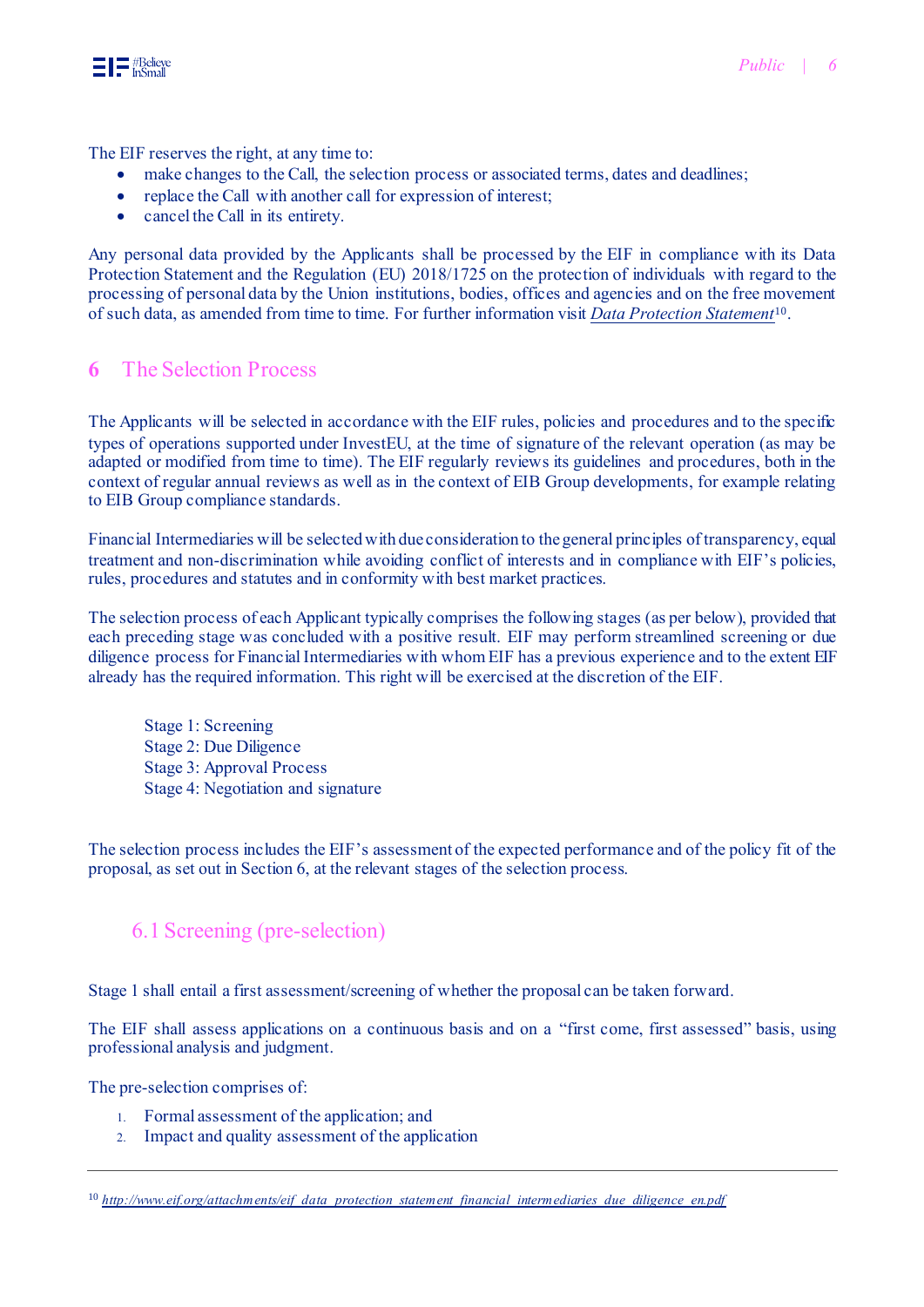

The EIF reserves the right, at any time to:

- make changes to the Call, the selection process or associated terms, dates and deadlines;
- replace the Call with another call for expression of interest;
- cancel the Call in its entirety.

Any personal data provided by the Applicants shall be processed by the EIF in compliance with its Data Protection Statement and the Regulation (EU) 2018/1725 on the protection of individuals with regard to the processing of personal data by the Union institutions, bodies, offices and agencies and on the free movement of such data, as amended from time to time. For further information visit *[Data Protection Statement](http://www.eif.org/attachments/eif_data_protection_statement_financial_intermediaries_due_diligence_en.pdf)*<sup>10</sup> .

# <span id="page-5-0"></span>**6** The Selection Process

The Applicants will be selected in accordance with the EIF rules, policies and procedures and to the specific types of operations supported under InvestEU, at the time of signature of the relevant operation (as may be adapted or modified from time to time). The EIF regularly reviews its guidelines and procedures, both in the context of regular annual reviews as well as in the context of EIB Group developments, for example relating to EIB Group compliance standards.

Financial Intermediaries will be selected with due consideration to the general principles of transparency, equal treatment and non-discrimination while avoiding conflict of interests and in compliance with EIF's policies, rules, procedures and statutes and in conformity with best market practices.

The selection process of each Applicant typically comprises the following stages (as per below), provided that each preceding stage was concluded with a positive result. EIF may perform streamlined screening or due diligence process for Financial Intermediaries with whom EIF has a previous experience and to the extent EIF already has the required information. This right will be exercised at the discretion of the EIF.

Stage 1: Screening Stage 2: Due Diligence Stage 3: Approval Process Stage 4: Negotiation and signature

The selection process includes the EIF's assessment of the expected performance and of the policy fit of the proposal, as set out in Section 6, at the relevant stages of the selection process.

# <span id="page-5-1"></span>6.1 Screening (pre-selection)

Stage 1 shall entail a first assessment/screening of whether the proposal can be taken forward.

The EIF shall assess applications on a continuous basis and on a "first come, first assessed" basis, using professional analysis and judgment.

The pre-selection comprises of:

- 1. Formal assessment of the application; and
- 2. Impact and quality assessment of the application

<sup>&</sup>lt;sup>10</sup> [http://www.eif.org/attachments/eif\\_data\\_protection\\_statement\\_financial\\_intermediaries\\_due\\_diligence\\_en.pdf](http://www.eif.org/attachments/eif_data_protection_statement_financial_intermediaries_due_diligence_en.pdf)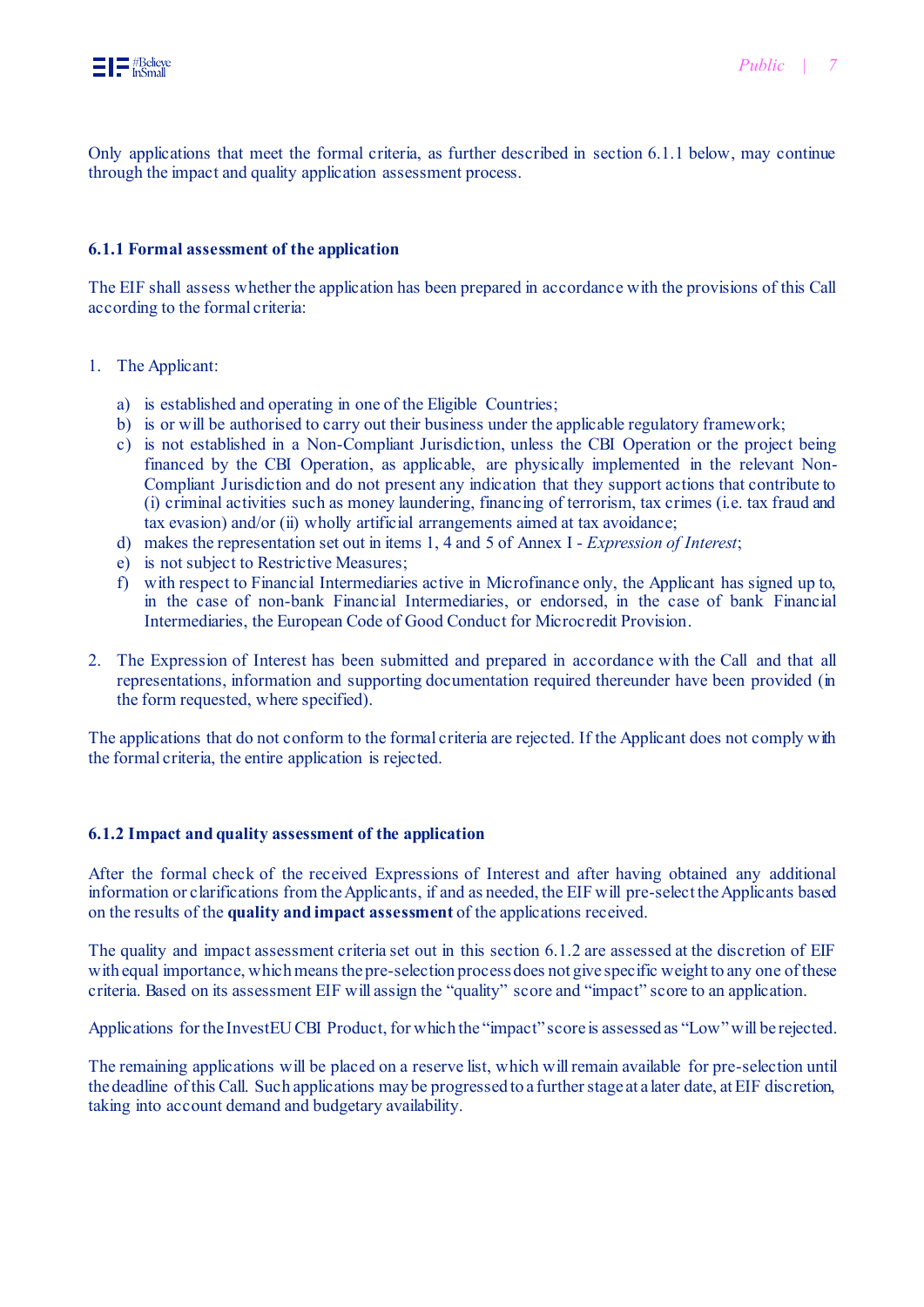Only applications that meet the formal criteria, as further described in section 6.1.1 below, may continue through the impact and quality application assessment process.

#### **6.1.1 Formal assessment of the application**

The EIF shall assess whether the application has been prepared in accordance with the provisions of this Call according to the formal criteria:

- 1. The Applicant:
	- a) is established and operating in one of the Eligible Countries;
	- b) is or will be authorised to carry out their business under the applicable regulatory framework;
	- c) is not established in a Non-Compliant Jurisdiction, unless the CBI Operation or the project being financed by the CBI Operation, as applicable, are physically implemented in the relevant Non-Compliant Jurisdiction and do not present any indication that they support actions that contribute to (i) criminal activities such as money laundering, financing of terrorism, tax crimes (i.e. tax fraud and tax evasion) and/or (ii) wholly artificial arrangements aimed at tax avoidance;
	- d) makes the representation set out in items 1, 4 and 5 of Annex I *Expression of Interest*;
	- e) is not subject to Restrictive Measures;
	- f) with respect to Financial Intermediaries active in Microfinance only, the Applicant has signed up to, in the case of non-bank Financial Intermediaries, or endorsed, in the case of bank Financial Intermediaries, the European Code of Good Conduct for Microcredit Provision.
- 2. The Expression of Interest has been submitted and prepared in accordance with the Call and that all representations, information and supporting documentation required thereunder have been provided (in the form requested, where specified).

The applications that do not conform to the formal criteria are rejected. If the Applicant does not comply with the formal criteria, the entire application is rejected.

#### **6.1.2 Impact and quality assessment of the application**

After the formal check of the received Expressions of Interest and after having obtained any additional information or clarifications from the Applicants, if and as needed, the EIF will pre-select the Applicants based on the results of the **quality and impact assessment** of the applications received.

The quality and impact assessment criteria set out in this section 6.1.2 are assessed at the discretion of EIF with equal importance, which means the pre-selection process does not give specific weight to any one of these criteria. Based on its assessment EIF will assign the "quality" score and "impact" score to an application.

Applications for the InvestEU CBI Product, for which the "impact" score is assessed as "Low"will be rejected.

The remaining applications will be placed on a reserve list, which will remain available for pre-selection until the deadline of this Call. Such applications may be progressed to a further stage at a later date, at EIF discretion, taking into account demand and budgetary availability.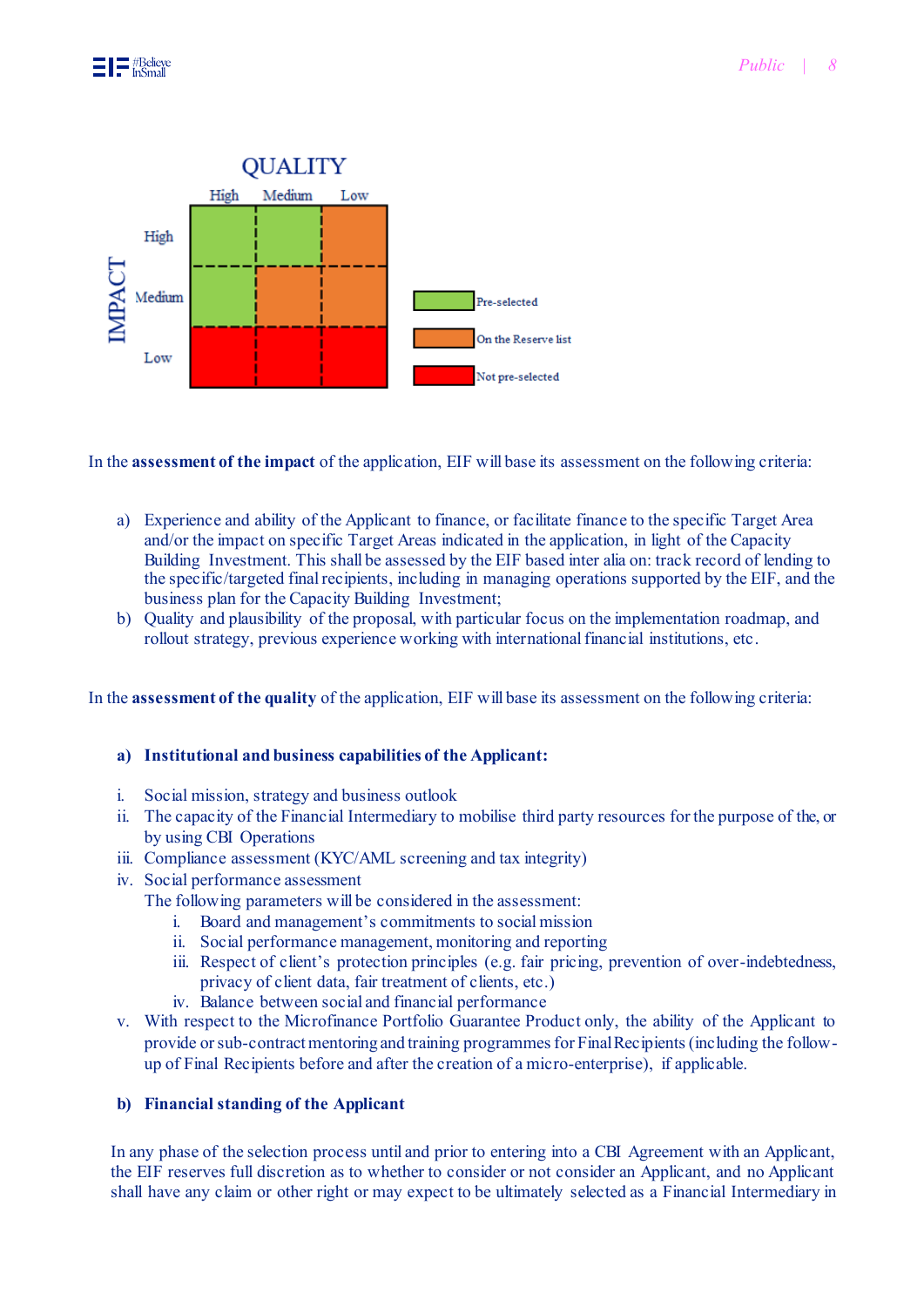

In the **assessment of the impact** of the application, EIF will base its assessment on the following criteria:

- a) Experience and ability of the Applicant to finance, or facilitate finance to the specific Target Area and/or the impact on specific Target Areas indicated in the application, in light of the Capacity Building Investment. This shall be assessed by the EIF based inter alia on: track record of lending to the specific/targeted final recipients, including in managing operations supported by the EIF, and the business plan for the Capacity Building Investment;
- b) Quality and plausibility of the proposal, with particular focus on the implementation roadmap, and rollout strategy, previous experience working with international financial institutions, etc.

In the **assessment of the quality** of the application, EIF will base its assessment on the following criteria:

#### **a) Institutional and business capabilities of the Applicant:**

- i. Social mission, strategy and business outlook
- ii. The capacity of the Financial Intermediary to mobilise third party resources for the purpose of the, or by using CBI Operations
- iii. Compliance assessment (KYC/AML screening and tax integrity)
- iv. Social performance assessment

The following parameters will be considered in the assessment:

- i. Board and management's commitments to social mission
- ii. Social performance management, monitoring and reporting
- iii. Respect of client's protection principles (e.g. fair pricing, prevention of over-indebtedness, privacy of client data, fair treatment of clients, etc.)
- iv. Balance between social and financial performance
- v. With respect to the Microfinance Portfolio Guarantee Product only, the ability of the Applicant to provide or sub-contract mentoring and training programmes for Final Recipients (including the followup of Final Recipients before and after the creation of a micro-enterprise), if applicable.

## **b) Financial standing of the Applicant**

In any phase of the selection process until and prior to entering into a CBI Agreement with an Applicant, the EIF reserves full discretion as to whether to consider or not consider an Applicant, and no Applicant shall have any claim or other right or may expect to be ultimately selected as a Financial Intermediary in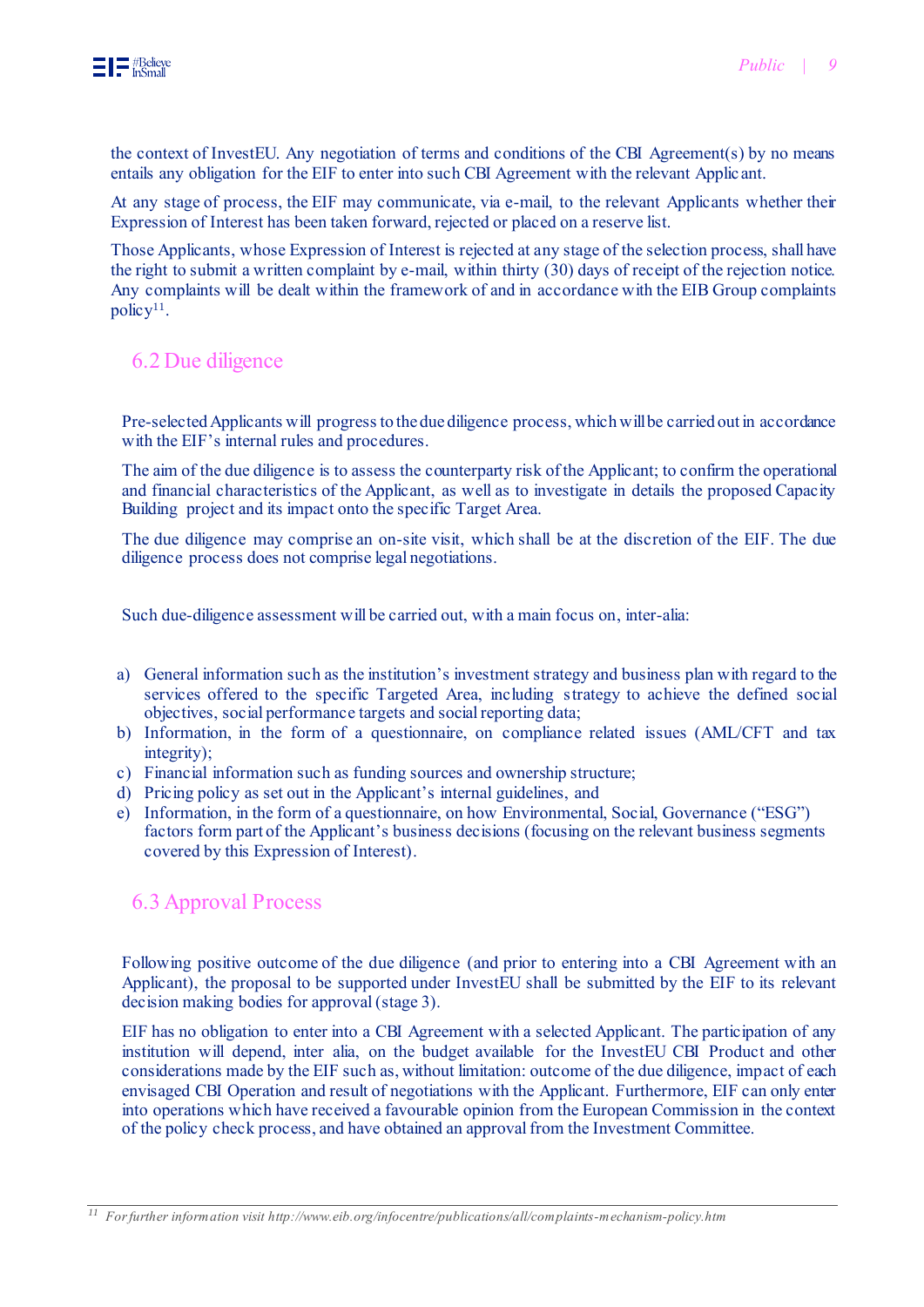the context of InvestEU. Any negotiation of terms and conditions of the CBI Agreement(s) by no means entails any obligation for the EIF to enter into such CBI Agreement with the relevant Applic ant.

At any stage of process, the EIF may communicate, via e-mail, to the relevant Applicants whether their Expression of Interest has been taken forward, rejected or placed on a reserve list.

Those Applicants, whose Expression of Interest is rejected at any stage of the selection process, shall have the right to submit a written complaint by e-mail, within thirty (30) days of receipt of the rejection notice. Any complaints will be dealt within the framework of and in accordance with the EIB Group complaints policy<sup>11</sup>.

# <span id="page-8-0"></span>6.2 Due diligence

Pre-selected Applicants will progress to the due diligence process, which will be carried out in accordance with the EIF's internal rules and procedures.

The aim of the due diligence is to assess the counterparty risk of the Applicant; to confirm the operational and financial characteristics of the Applicant, as well as to investigate in details the proposed Capacity Building project and its impact onto the specific Target Area.

The due diligence may comprise an on-site visit, which shall be at the discretion of the EIF. The due diligence process does not comprise legal negotiations.

Such due-diligence assessment will be carried out, with a main focus on, inter-alia:

- a) General information such as the institution's investment strategy and business plan with regard to the services offered to the specific Targeted Area, including strategy to achieve the defined social objectives, social performance targets and social reporting data;
- b) Information, in the form of a questionnaire, on compliance related issues (AML/CFT and tax integrity);
- c) Financial information such as funding sources and ownership structure;
- d) Pricing policy as set out in the Applicant's internal guidelines, and
- e) Information, in the form of a questionnaire, on how Environmental, Social, Governance ("ESG") factors form part of the Applicant's business decisions (focusing on the relevant business segments covered by this Expression of Interest).

# <span id="page-8-1"></span>6.3 Approval Process

Following positive outcome of the due diligence (and prior to entering into a CBI Agreement with an Applicant), the proposal to be supported under InvestEU shall be submitted by the EIF to its relevant decision making bodies for approval (stage 3).

EIF has no obligation to enter into a CBI Agreement with a selected Applicant. The participation of any institution will depend, inter alia, on the budget available for the InvestEU CBI Product and other considerations made by the EIF such as, without limitation: outcome of the due diligence, impact of each envisaged CBI Operation and result of negotiations with the Applicant. Furthermore, EIF can only enter into operations which have received a favourable opinion from the European Commission in the context of the policy check process, and have obtained an approval from the Investment Committee.

*<sup>11</sup> For further information visit http://www.eib.org/infocentre/publications/all/complaints-mechanism-policy.htm*